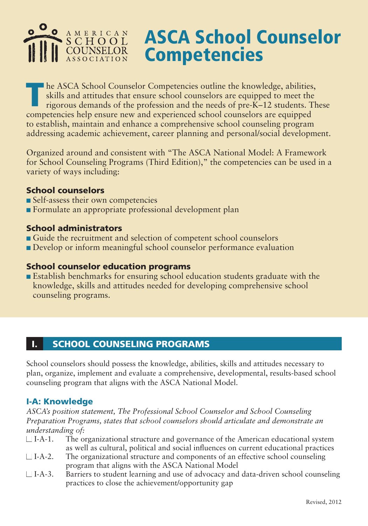# AMERICAN SCHOOL **COUNSELOR ASSOCIATION**

# ASCA School Counselor **Competencies**

The ASCA School Counselor Competencies outline the knowledge, abilities, skills and attitudes that ensure school counselors are equipped to meet the rigorous demands of the profession and the needs of pre-K–12 students. Th skills and attitudes that ensure school counselors are equipped to meet the competencies help ensure new and experienced school counselors are equipped to establish, maintain and enhance a comprehensive school counseling program addressing academic achievement, career planning and personal/social development.

Organized around and consistent with "The ASCA National Model: A Framework for School Counseling Programs (Third Edition)," the competencies can be used in a variety of ways including:

### School counselors

- **n** Self-assess their own competencies
- <sup>n</sup> Formulate an appropriate professional development plan

### School administrators

- <sup>n</sup> Guide the recruitment and selection of competent school counselors
- <sup>n</sup> Develop or inform meaningful school counselor performance evaluation

#### School counselor education programs

**E** Establish benchmarks for ensuring school education students graduate with the knowledge, skills and attitudes needed for developing comprehensive school counseling programs.

#### SCHOOL COUNSELING PROGRAMS I.

School counselors should possess the knowledge, abilities, skills and attitudes necessary to plan, organize, implement and evaluate a comprehensive, developmental, results-based school counseling program that aligns with the ASCA National Model.

# I-A: Knowledge

*ASCA's position statement, The Professional School Counselor and School Counseling Preparation Programs, states that school counselors should articulate and demonstrate an understanding of:* 

- $\Box$  I-A-1. The organizational structure and governance of the American educational system as well as cultural, political and social influences on current educational practices
- $\Box$  I-A-2. The organizational structure and components of an effective school counseling program that aligns with the ASCA National Model
- $\Box$  I-A-3. Barriers to student learning and use of advocacy and data-driven school counseling practices to close the achievement/opportunity gap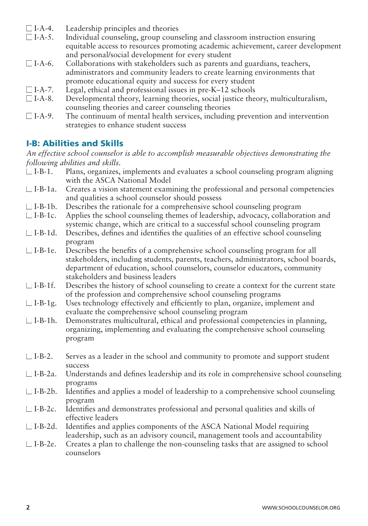- $\Box$  I-A-4. Leadership principles and theories  $\Box$  I-A-5. Individual counseling, group couns
- Individual counseling, group counseling and classroom instruction ensuring equitable access to resources promoting academic achievement, career development and personal/social development for every student
- $\Box$  I-A-6. Collaborations with stakeholders such as parents and guardians, teachers, administrators and community leaders to create learning environments that promote educational equity and success for every student
- $\Box$  I-A-7. Legal, ethical and professional issues in pre-K–12 schools  $\Box$  I-A-8. Developmental theory, learning theories, social justice the
- Developmental theory, learning theories, social justice theory, multiculturalism, counseling theories and career counseling theories
- $\Box$  I-A-9. The continuum of mental health services, including prevention and intervention strategies to enhance student success

# I-B: Abilities and Skills

*An effective school counselor is able to accomplish measurable objectives demonstrating the following abilities and skills.* 

- $\Box$  I-B-1. Plans, organizes, implements and evaluates a school counseling program aligning with the ASCA National Model
- $\Box$  I-B-1a. Creates a vision statement examining the professional and personal competencies and qualities a school counselor should possess
- $\Box$  I-B-1b. Describes the rationale for a comprehensive school counseling program
- $\Box$  I-B-1c. Applies the school counseling themes of leadership, advocacy, collaboration and systemic change, which are critical to a successful school counseling program
- $\Box$  I-B-1d. Describes, defines and identifies the qualities of an effective school counseling program
- $\Box$  I-B-1e. Describes the benefits of a comprehensive school counseling program for all stakeholders, including students, parents, teachers, administrators, school boards, department of education, school counselors, counselor educators, community stakeholders and business leaders
- $\Box$  I-B-1f. Describes the history of school counseling to create a context for the current state of the profession and comprehensive school counseling programs
- $\Box$  I-B-1g. Uses technology effectively and efficiently to plan, organize, implement and evaluate the comprehensive school counseling program
- $\Box$  I-B-1h. Demonstrates multicultural, ethical and professional competencies in planning, organizing, implementing and evaluating the comprehensive school counseling program
- $\Box$  I-B-2. Serves as a leader in the school and community to promote and support student success
- $\Box$  I-B-2a. Understands and defines leadership and its role in comprehensive school counseling programs
- $\Box$  I-B-2b. Identifies and applies a model of leadership to a comprehensive school counseling program
- $\Box$  I-B-2c. Identifies and demonstrates professional and personal qualities and skills of effective leaders
- $\Box$  I-B-2d. Identifies and applies components of the ASCA National Model requiring leadership, such as an advisory council, management tools and accountability
- $\Box$  I-B-2e. Creates a plan to challenge the non-counseling tasks that are assigned to school counselors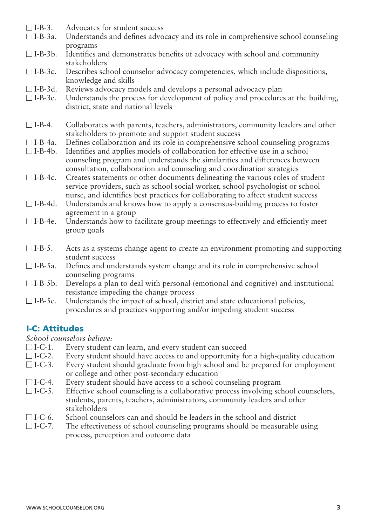- $\Box$  I-B-3. Advocates for student success
- $\Box$  I-B-3a. Understands and defines advocacy and its role in comprehensive school counseling programs
- $\Box$  I-B-3b. Identifies and demonstrates benefits of advocacy with school and community stakeholders
- $\Box$  I-B-3c. Describes school counselor advocacy competencies, which include dispositions, knowledge and skills
- $\Box$  I-B-3d. Reviews advocacy models and develops a personal advocacy plan
- $\Box$  I-B-3e. Understands the process for development of policy and procedures at the building, district, state and national levels
- $\Box$  I-B-4. Collaborates with parents, teachers, administrators, community leaders and other stakeholders to promote and support student success
- $\Box$  I-B-4a. Defines collaboration and its role in comprehensive school counseling programs
- $\Box$  I-B-4b. Identifies and applies models of collaboration for effective use in a school counseling program and understands the similarities and differences between consultation, collaboration and counseling and coordination strategies
- $\Box$  I-B-4c. Creates statements or other documents delineating the various roles of student service providers, such as school social worker, school psychologist or school nurse, and identifies best practices for collaborating to affect student success
- $\Box$  I-B-4d. Understands and knows how to apply a consensus-building process to foster agreement in a group
- $\Box$  I-B-4e. Understands how to facilitate group meetings to effectively and efficiently meet group goals
- $\Box$  I-B-5. Acts as a systems change agent to create an environment promoting and supporting student success
- $\Box$  I-B-5a. Defines and understands system change and its role in comprehensive school counseling programs
- $\Box$  I-B-5b. Develops a plan to deal with personal (emotional and cognitive) and institutional resistance impeding the change process
- $\Box$  I-B-5c. Understands the impact of school, district and state educational policies, procedures and practices supporting and/or impeding student success

# I-C: Attitudes

*School counselors believe:* 

- □ I-C-1. Every student can learn, and every student can succeed
- $\Box$  I-C-2. Every student should have access to and opportunity for a high-quality education
- $\Box$  I-C-3. Every student should graduate from high school and be prepared for employment or college and other post-secondary education
- $\Box$  I-C-4. Every student should have access to a school counseling program
- $\Box$  I-C-5. Effective school counseling is a collaborative process involving school counselors, students, parents, teachers, administrators, community leaders and other stakeholders
- $\Box$  I-C-6. School counselors can and should be leaders in the school and district
- $\Box$  I-C-7. The effectiveness of school counseling programs should be measurable using process, perception and outcome data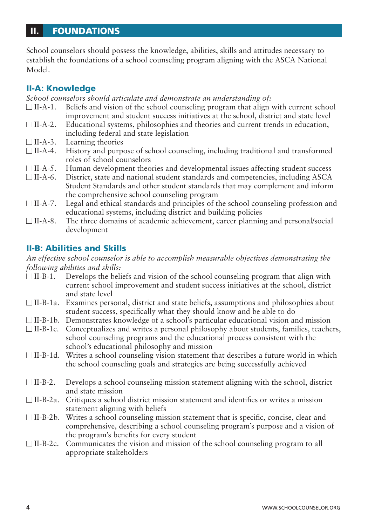#### FOUNDATIONS II.

School counselors should possess the knowledge, abilities, skills and attitudes necessary to establish the foundations of a school counseling program aligning with the ASCA National Model.

#### II-A: Knowledge

*School counselors should articulate and demonstrate an understanding of:* 

- $\Box$  II-A-1. Beliefs and vision of the school counseling program that align with current school improvement and student success initiatives at the school, district and state level
- $\Box$  II-A-2. Educational systems, philosophies and theories and current trends in education, including federal and state legislation
- $\Box$  II-A-3. Learning theories
- $\Box$  II-A-4. History and purpose of school counseling, including traditional and transformed roles of school counselors
- $\Box$  II-A-5. Human development theories and developmental issues affecting student success
- $\Box$  II-A-6. District, state and national student standards and competencies, including ASCA Student Standards and other student standards that may complement and inform the comprehensive school counseling program
- $\Box$  II-A-7. Legal and ethical standards and principles of the school counseling profession and educational systems, including district and building policies
- $\Box$  II-A-8. The three domains of academic achievement, career planning and personal/social development

# II-B: Abilities and Skills

*An effective school counselor is able to accomplish measurable objectives demonstrating the following abilities and skills:*

- $\Box$  II-B-1. Develops the beliefs and vision of the school counseling program that align with current school improvement and student success initiatives at the school, district and state level
- $\Box$  II-B-1a. Examines personal, district and state beliefs, assumptions and philosophies about student success, specifically what they should know and be able to do
- $\Box$  II-B-1b. Demonstrates knowledge of a school's particular educational vision and mission
- $\Box$  II-B-1c. Conceptualizes and writes a personal philosophy about students, families, teachers, school counseling programs and the educational process consistent with the school's educational philosophy and mission
- $\Box$  II-B-1d. Writes a school counseling vision statement that describes a future world in which the school counseling goals and strategies are being successfully achieved
- $\Box$  II-B-2. Develops a school counseling mission statement aligning with the school, district and state mission
- $\Box$  II-B-2a. Critiques a school district mission statement and identifies or writes a mission statement aligning with beliefs
- $\Box$  II-B-2b. Writes a school counseling mission statement that is specific, concise, clear and comprehensive, describing a school counseling program's purpose and a vision of the program's benefits for every student
- $\Box$  II-B-2c. Communicates the vision and mission of the school counseling program to all appropriate stakeholders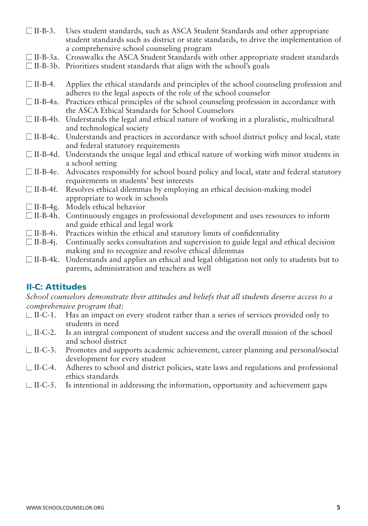- $\Box$  II-B-3. Uses student standards, such as ASCA Student Standards and other appropriate student standards such as district or state standards, to drive the implementation of a comprehensive school counseling program
- $\Box$  II-B-3a. Crosswalks the ASCA Student Standards with other appropriate student standards
- $\Box$  II-B-3b. Prioritizes student standards that align with the school's goals
- $\Box$  II-B-4. Applies the ethical standards and principles of the school counseling profession and adheres to the legal aspects of the role of the school counselor
- $\Box$  II-B-4a. Practices ethical principles of the school counseling profession in accordance with the ASCA Ethical Standards for School Counselors
- $\Box$  II-B-4b. Understands the legal and ethical nature of working in a pluralistic, multicultural and technological society
- □ II-B-4c. Understands and practices in accordance with school district policy and local, state and federal statutory requirements
- $\Box$  II-B-4d. Understands the unique legal and ethical nature of working with minor students in a school setting
- $\Box$  II-B-4e. Advocates responsibly for school board policy and local, state and federal statutory requirements in students' best interests
- $\Box$  II-B-4f. Resolves ethical dilemmas by employing an ethical decision-making model appropriate to work in schools
- $\Box$  II-B-4g. Models ethical behavior
- $\Box$  II-B-4h. Continuously engages in professional development and uses resources to inform and guide ethical and legal work
- $\Box$  II-B-4i. Practices within the ethical and statutory limits of confidentiality
- $\Box$  II-B-4j. Continually seeks consultation and supervision to guide legal and ethical decision making and to recognize and resolve ethical dilemmas
- $\Box$  II-B-4k. Understands and applies an ethical and legal obligation not only to students but to parents, administration and teachers as well

# II-C: Attitudes

*School counselors demonstrate their attitudes and beliefs that all students deserve access to a comprehensive program that:* 

- $\Box$  II-C-1. Has an impact on every student rather than a series of services provided only to students in need
- $\Box$  II-C-2. Is an integral component of student success and the overall mission of the school and school district
- $\Box$  II-C-3. Promotes and supports academic achievement, career planning and personal/social development for every student
- $\Box$  II-C-4. Adheres to school and district policies, state laws and regulations and professional ethics standards
- $\Box$  II-C-5. Is intentional in addressing the information, opportunity and achievement gaps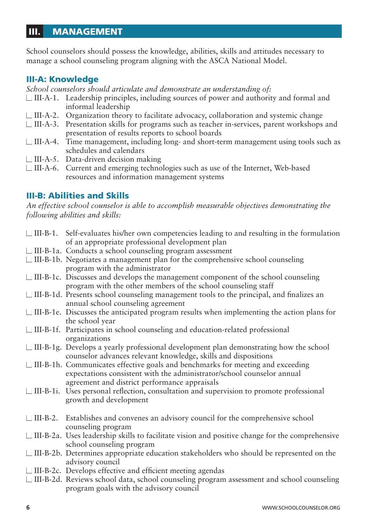#### MANAGEMENT III.

School counselors should possess the knowledge, abilities, skills and attitudes necessary to manage a school counseling program aligning with the ASCA National Model.

#### III-A: Knowledge

*School counselors should articulate and demonstrate an understanding of:* 

- $\Box$  III-A-1. Leadership principles, including sources of power and authority and formal and informal leadership
- $\Box$  III-A-2. Organization theory to facilitate advocacy, collaboration and systemic change
- n III-A-3. Presentation skills for programs such as teacher in-services, parent workshops and presentation of results reports to school boards
- $\Box$  III-A-4. Time management, including long- and short-term management using tools such as schedules and calendars
- $\Box$  III-A-5. Data-driven decision making
- □ III-A-6. Current and emerging technologies such as use of the Internet, Web-based resources and information management systems

### III-B: Abilities and Skills

*An effective school counselor is able to accomplish measurable objectives demonstrating the following abilities and skills:*

| $\Box$ III-B-1. Self-evaluates his/her own competencies leading to and resulting in the formulation                                                                                                          |
|--------------------------------------------------------------------------------------------------------------------------------------------------------------------------------------------------------------|
| of an appropriate professional development plan                                                                                                                                                              |
| $\Box$ III-B-1a. Conducts a school counseling program assessment                                                                                                                                             |
| $\Box$ III-B-1b. Negotiates a management plan for the comprehensive school counseling                                                                                                                        |
| program with the administrator                                                                                                                                                                               |
| $\Box$ III-B-1c. Discusses and develops the management component of the school counseling                                                                                                                    |
| program with the other members of the school counseling staff                                                                                                                                                |
| □ III-B-1d. Presents school counseling management tools to the principal, and finalizes an<br>annual school counseling agreement                                                                             |
| □ III-B-1e. Discusses the anticipated program results when implementing the action plans for<br>the school year                                                                                              |
| □ III-B-1f. Participates in school counseling and education-related professional<br>organizations                                                                                                            |
| $\Box$ III-B-1g. Develops a yearly professional development plan demonstrating how the school<br>counselor advances relevant knowledge, skills and dispositions                                              |
| □ III-B-1h. Communicates effective goals and benchmarks for meeting and exceeding<br>expectations consistent with the administrator/school counselor annual<br>agreement and district performance appraisals |
| Uses personal reflection, consultation and supervision to promote professional<br>growth and development                                                                                                     |
| III-B-2. Establishes and convenes an advisory council for the comprehensive school<br>counseling program                                                                                                     |
| $\Box$ III-B-2a. Uses leadership skills to facilitate vision and positive change for the comprehensive<br>school counseling program                                                                          |
| □ III-B-2b. Determines appropriate education stakeholders who should be represented on the<br>advisory council                                                                                               |
| $\Box$ III-B-2c. Develops effective and efficient meeting agendas                                                                                                                                            |
| □ III-B-2d. Reviews school data, school counseling program assessment and school counseling                                                                                                                  |
| program goals with the advisory council                                                                                                                                                                      |
| WWW.SCHOOLCOUNSELOR.ORG                                                                                                                                                                                      |
|                                                                                                                                                                                                              |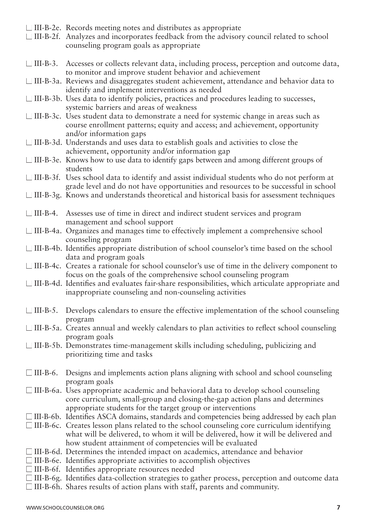- $\Box$  III-B-2e. Records meeting notes and distributes as appropriate
- $\Box$  III-B-2f. Analyzes and incorporates feedback from the advisory council related to school counseling program goals as appropriate
- □ III-B-3. Accesses or collects relevant data, including process, perception and outcome data, to monitor and improve student behavior and achievement
- $\Box$  III-B-3a. Reviews and disaggregates student achievement, attendance and behavior data to identify and implement interventions as needed
- n III-B-3b. Uses data to identify policies, practices and procedures leading to successes, systemic barriers and areas of weakness
- $\Box$  III-B-3c. Uses student data to demonstrate a need for systemic change in areas such as course enrollment patterns; equity and access; and achievement, opportunity and/or information gaps
- $\Box$  III-B-3d. Understands and uses data to establish goals and activities to close the achievement, opportunity and/or information gap
- $\Box$  III-B-3e. Knows how to use data to identify gaps between and among different groups of students
- $\Box$  III-B-3f. Uses school data to identify and assist individual students who do not perform at grade level and do not have opportunities and resources to be successful in school
- $\Box$  III-B-3g. Knows and understands theoretical and historical basis for assessment techniques
- $\Box$  III-B-4. Assesses use of time in direct and indirect student services and program management and school support
- $\Box$  III-B-4a. Organizes and manages time to effectively implement a comprehensive school counseling program
- $\Box$  III-B-4b. Identifies appropriate distribution of school counselor's time based on the school data and program goals
- $\Box$  III-B-4c. Creates a rationale for school counselor's use of time in the delivery component to focus on the goals of the comprehensive school counseling program
- $\Box$  III-B-4d. Identifies and evaluates fair-share responsibilities, which articulate appropriate and inappropriate counseling and non-counseling activities
- $\Box$  III-B-5. Develops calendars to ensure the effective implementation of the school counseling program
- $\Box$  III-B-5a. Creates annual and weekly calendars to plan activities to reflect school counseling program goals
- $\Box$  III-B-5b. Demonstrates time-management skills including scheduling, publicizing and prioritizing time and tasks
- $\Box$  III-B-6. Designs and implements action plans aligning with school and school counseling program goals
- $\Box$  III-B-6a. Uses appropriate academic and behavioral data to develop school counseling core curriculum, small-group and closing-the-gap action plans and determines appropriate students for the target group or interventions
- $\Box$  III-B-6b. Identifies ASCA domains, standards and competencies being addressed by each plan
- $\Box$  III-B-6c. Creates lesson plans related to the school counseling core curriculum identifying what will be delivered, to whom it will be delivered, how it will be delivered and how student attainment of competencies will be evaluated
- $\Box$  III-B-6d. Determines the intended impact on academics, attendance and behavior
- $\Box$  III-B-6e. Identifies appropriate activities to accomplish objectives
- $\Box$  III-B-6f. Identifies appropriate resources needed
- n III-B-6g. Identifies data-collection strategies to gather process, perception and outcome data
- $\Box$  III-B-6h. Shares results of action plans with staff, parents and community.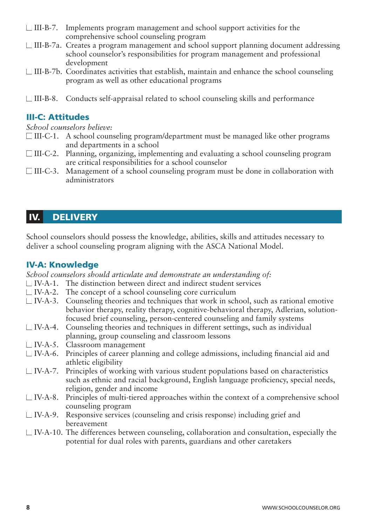- $\Box$  III-B-7. Implements program management and school support activities for the comprehensive school counseling program
- $\Box$  III-B-7a. Creates a program management and school support planning document addressing school counselor's responsibilities for program management and professional development
- $\Box$  III-B-7b. Coordinates activities that establish, maintain and enhance the school counseling program as well as other educational programs
- $\Box$  III-B-8. Conducts self-appraisal related to school counseling skills and performance

# III-C: Attitudes

*School counselors believe:* 

- $\Box$  III-C-1. A school counseling program/department must be managed like other programs and departments in a school
- $\Box$  III-C-2. Planning, organizing, implementing and evaluating a school counseling program are critical responsibilities for a school counselor
- $\Box$  III-C-3. Management of a school counseling program must be done in collaboration with administrators

#### **DELIVERY** IV.

School counselors should possess the knowledge, abilities, skills and attitudes necessary to deliver a school counseling program aligning with the ASCA National Model.

#### IV-A: Knowledge

*School counselors should articulate and demonstrate an understanding of:* 

- $\Box$  IV-A-1. The distinction between direct and indirect student services
- $\Box$  IV-A-2. The concept of a school counseling core curriculum
- $\Box$  IV-A-3. Counseling theories and techniques that work in school, such as rational emotive behavior therapy, reality therapy, cognitive-behavioral therapy, Adlerian, solutionfocused brief counseling, person-centered counseling and family systems
- $\Box$  IV-A-4. Counseling theories and techniques in different settings, such as individual planning, group counseling and classroom lessons
- $\Box$  IV-A-5. Classroom management
- $\Box$  IV-A-6. Principles of career planning and college admissions, including financial aid and athletic eligibility
- $\Box$  IV-A-7. Principles of working with various student populations based on characteristics such as ethnic and racial background, English language proficiency, special needs, religion, gender and income
- $\Box$  IV-A-8. Principles of multi-tiered approaches within the context of a comprehensive school counseling program
- $\Box$  IV-A-9. Responsive services (counseling and crisis response) including grief and bereavement
- $\Box$  IV-A-10. The differences between counseling, collaboration and consultation, especially the potential for dual roles with parents, guardians and other caretakers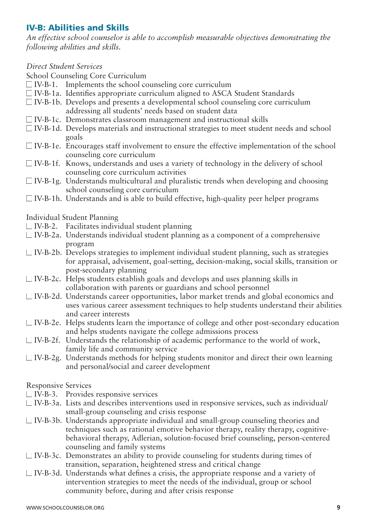# IV-B: Abilities and Skills

*An effective school counselor is able to accomplish measurable objectives demonstrating the following abilities and skills.* 

#### *Direct Student Services*

School Counseling Core Curriculum

- $\Box$  IV-B-1. Implements the school counseling core curriculum
- $\Box$  IV-B-1a. Identifies appropriate curriculum aligned to ASCA Student Standards
- $\Box$  IV-B-1b. Develops and presents a developmental school counseling core curriculum addressing all students' needs based on student data
- $\Box$  IV-B-1c. Demonstrates classroom management and instructional skills
- $\Box$  IV-B-1d. Develops materials and instructional strategies to meet student needs and school goals
- $\Box$  IV-B-1e. Encourages staff involvement to ensure the effective implementation of the school counseling core curriculum
- $\Box$  IV-B-1f. Knows, understands and uses a variety of technology in the delivery of school counseling core curriculum activities
- $\Box$  IV-B-1g. Understands multicultural and pluralistic trends when developing and choosing school counseling core curriculum
- $\Box$  IV-B-1h. Understands and is able to build effective, high-quality peer helper programs

Individual Student Planning

- $\Box$  IV-B-2. Facilitates individual student planning
- $\Box$  IV-B-2a. Understands individual student planning as a component of a comprehensive program
- $\Box$  IV-B-2b. Develops strategies to implement individual student planning, such as strategies for appraisal, advisement, goal-setting, decision-making, social skills, transition or post-secondary planning
- $\Box$  IV-B-2c. Helps students establish goals and develops and uses planning skills in collaboration with parents or guardians and school personnel
- $\Box$  IV-B-2d. Understands career opportunities, labor market trends and global economics and uses various career assessment techniques to help students understand their abilities and career interests
- $\Box$  IV-B-2e. Helps students learn the importance of college and other post-secondary education and helps students navigate the college admissions process
- $\Box$  IV-B-2f. Understands the relationship of academic performance to the world of work, family life and community service
- $\Box$  IV-B-2g. Understands methods for helping students monitor and direct their own learning and personal/social and career development

Responsive Services

- $\Box$  IV-B-3. Provides responsive services
- $\Box$  IV-B-3a. Lists and describes interventions used in responsive services, such as individual/ small-group counseling and crisis response
- $\Box$  IV-B-3b. Understands appropriate individual and small-group counseling theories and techniques such as rational emotive behavior therapy, reality therapy, cognitivebehavioral therapy, Adlerian, solution-focused brief counseling, person-centered counseling and family systems
- $\Box$  IV-B-3c. Demonstrates an ability to provide counseling for students during times of transition, separation, heightened stress and critical change
- $\Box$  IV-B-3d. Understands what defines a crisis, the appropriate response and a variety of intervention strategies to meet the needs of the individual, group or school community before, during and after crisis response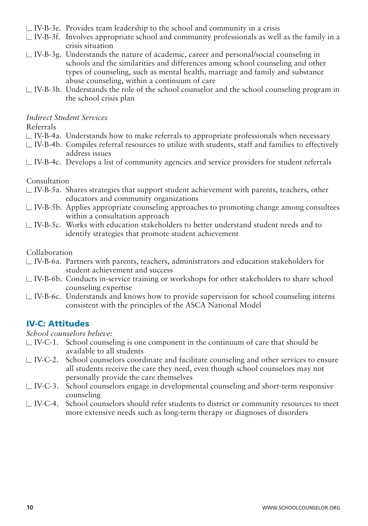- $\Box$  IV-B-3e. Provides team leadership to the school and community in a crisis
- $\Box$  IV-B-3f. Involves appropriate school and community professionals as well as the family in a crisis situation
- $\Box$  IV-B-3g. Understands the nature of academic, career and personal/social counseling in schools and the similarities and differences among school counseling and other types of counseling, such as mental health, marriage and family and substance abuse counseling, within a continuum of care
- $\Box$  IV-B-3h. Understands the role of the school counselor and the school counseling program in the school crisis plan

#### *Indirect Student Services*

Referrals

- $\Box$  IV-B-4a. Understands how to make referrals to appropriate professionals when necessary
- $\Box$  IV-B-4b. Compiles referral resources to utilize with students, staff and families to effectively address issues
- $\Box$  IV-B-4c. Develops a list of community agencies and service providers for student referrals

#### Consultation

- $\Box$  IV-B-5a. Shares strategies that support student achievement with parents, teachers, other educators and community organizations
- $\Box$  IV-B-5b. Applies appropriate counseling approaches to promoting change among consultees within a consultation approach
- $\Box$  IV-B-5c. Works with education stakeholders to better understand student needs and to identify strategies that promote student achievement

#### Collaboration

- $\Box$  IV-B-6a. Partners with parents, teachers, administrators and education stakeholders for student achievement and success
- $\Box$  IV-B-6b. Conducts in-service training or workshops for other stakeholders to share school counseling expertise
- $\Box$  IV-B-6c. Understands and knows how to provide supervision for school counseling interns consistent with the principles of the ASCA National Model

#### IV-C: Attitudes

#### *School counselors believe:*

- $\Box$  IV-C-1. School counseling is one component in the continuum of care that should be available to all students
- $\Box$  IV-C-2. School counselors coordinate and facilitate counseling and other services to ensure all students receive the care they need, even though school counselors may not personally provide the care themselves
- $\Box$  IV-C-3. School counselors engage in developmental counseling and short-term responsive counseling
- $\Box$  IV-C-4. School counselors should refer students to district or community resources to meet more extensive needs such as long-term therapy or diagnoses of disorders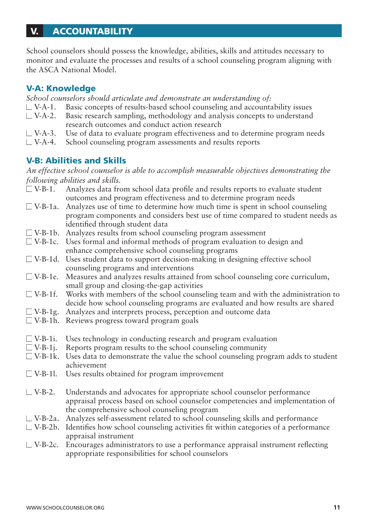#### **ACCOUNTABILITY** V.

School counselors should possess the knowledge, abilities, skills and attitudes necessary to monitor and evaluate the processes and results of a school counseling program aligning with the ASCA National Model.

#### V-A: Knowledge

*School counselors should articulate and demonstrate an understanding of:* 

- $\Box$  V-A-1. Basic concepts of results-based school counseling and accountability issues
- $\Box$  V-A-2. Basic research sampling, methodology and analysis concepts to understand research outcomes and conduct action research
- $\Box$  V-A-3. Use of data to evaluate program effectiveness and to determine program needs
- $\Box$  V-A-4. School counseling program assessments and results reports

### V-B: Abilities and Skills

*An effective school counselor is able to accomplish measurable objectives demonstrating the following abilities and skills.* 

- $\Box$  V-B-1. Analyzes data from school data profile and results reports to evaluate student outcomes and program effectiveness and to determine program needs
- $\Box$  V-B-1a. Analyzes use of time to determine how much time is spent in school counseling program components and considers best use of time compared to student needs as identified through student data
- $\Box$  V-B-1b. Analyzes results from school counseling program assessment
- $\Box$  V-B-1c. Uses formal and informal methods of program evaluation to design and enhance comprehensive school counseling programs
- $\Box$  V-B-1d. Uses student data to support decision-making in designing effective school counseling programs and interventions
- $\Box$  V-B-1e. Measures and analyzes results attained from school counseling core curriculum, small group and closing-the-gap activities
- $\Box$  V-B-1f. Works with members of the school counseling team and with the administration to decide how school counseling programs are evaluated and how results are shared
- $\Box$  V-B-1g. Analyzes and interprets process, perception and outcome data
- $\Box$  V-B-1h. Reviews progress toward program goals
- $\Box$  V-B-1i. Uses technology in conducting research and program evaluation
- $\Box$  V-B-1j. Reports program results to the school counseling community
- $\Box$  V-B-1k. Uses data to demonstrate the value the school counseling program adds to student achievement
- $\Box$  V-B-1l. Uses results obtained for program improvement
- $\Box$  V-B-2. Understands and advocates for appropriate school counselor performance appraisal process based on school counselor competencies and implementation of the comprehensive school counseling program
- $\Box$  V-B-2a. Analyzes self-assessment related to school counseling skills and performance
- $\Box$  V-B-2b. Identifies how school counseling activities fit within categories of a performance appraisal instrument
- $\Box$  V-B-2c. Encourages administrators to use a performance appraisal instrument reflecting appropriate responsibilities for school counselors